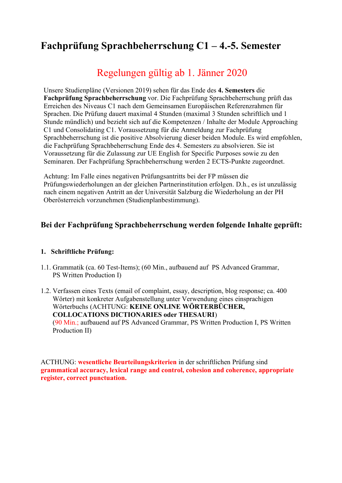# **Fachprüfung Sprachbeherrschung C1 – 4.-5. Semester**

# Regelungen gültig ab 1. Jänner 2020

Unsere Studienpläne (Versionen 2019) sehen für das Ende des **4. Semesters** die **Fachprüfung Sprachbeherrschung** vor. Die Fachprüfung Sprachbeherrschung prüft das Erreichen des Niveaus C1 nach dem Gemeinsamen Europäischen Referenzrahmen für Sprachen. Die Prüfung dauert maximal 4 Stunden (maximal 3 Stunden schriftlich und 1 Stunde mündlich) und bezieht sich auf die Kompetenzen / Inhalte der Module Approaching C1 und Consolidating C1. Voraussetzung für die Anmeldung zur Fachprüfung Sprachbeherrschung ist die positive Absolvierung dieser beiden Module. Es wird empfohlen, die Fachprüfung Sprachbeherrschung Ende des 4. Semesters zu absolvieren. Sie ist Voraussetzung für die Zulassung zur UE English for Specific Purposes sowie zu den Seminaren. Der Fachprüfung Sprachbeherrschung werden 2 ECTS-Punkte zugeordnet.

Achtung: Im Falle eines negativen Prüfungsantritts bei der FP müssen die Prüfungswiederholungen an der gleichen Partnerinstitution erfolgen. D.h., es ist unzulässig nach einem negativen Antritt an der Universität Salzburg die Wiederholung an der PH Oberösterreich vorzunehmen (Studienplanbestimmung).

# **Bei der Fachprüfung Sprachbeherrschung werden folgende Inhalte geprüft:**

## **1. Schriftliche Prüfung:**

- 1.1. Grammatik (ca. 60 Test-Items); (60 Min., aufbauend auf PS Advanced Grammar, PS Written Production I)
- 1.2. Verfassen eines Texts (email of complaint, essay, description, blog response; ca. 400 Wörter) mit konkreter Aufgabenstellung unter Verwendung eines einsprachigen Wörterbuchs (ACHTUNG: **KEINE ONLINE WÖRTERBÜCHER, COLLOCATIONS DICTIONARIES oder THESAURI**) (90 Min.; aufbauend auf PS Advanced Grammar, PS Written Production I, PS Written Production II)

ACTHUNG: **wesentliche Beurteilungskriterien** in der schriftlichen Prüfung sind **grammatical accuracy, lexical range and control, cohesion and coherence, appropriate register, correct punctuation.**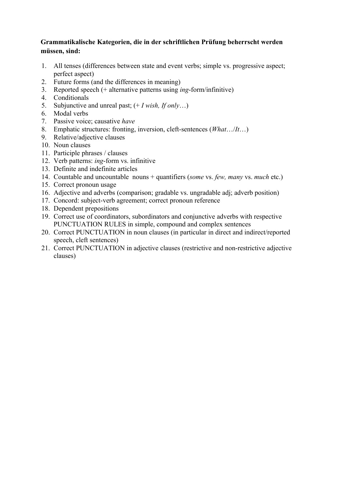## **Grammatikalische Kategorien, die in der schriftlichen Prüfung beherrscht werden müssen, sind:**

- 1. All tenses (differences between state and event verbs; simple vs. progressive aspect; perfect aspect)
- 2. Future forms (and the differences in meaning)
- 3. Reported speech (+ alternative patterns using *ing*-form/infinitive)
- 4. Conditionals
- 5. Subjunctive and unreal past; (+ *I wish, If only*…)
- 6. Modal verbs
- 7. Passive voice; causative *have*
- 8. Emphatic structures: fronting, inversion, cleft-sentences (*What*…/*It*…)
- 9. Relative/adjective clauses
- 10. Noun clauses
- 11. Participle phrases / clauses
- 12. Verb patterns: *ing*-form vs. infinitive
- 13. Definite and indefinite articles
- 14. Countable and uncountable nouns + quantifiers (*some* vs. *few, many* vs. *much* etc.)
- 15. Correct pronoun usage
- 16. Adjective and adverbs (comparison; gradable vs. ungradable adj; adverb position)
- 17. Concord: subject-verb agreement; correct pronoun reference
- 18. Dependent prepositions
- 19. Correct use of coordinators, subordinators and conjunctive adverbs with respective PUNCTUATION RULES in simple, compound and complex sentences
- 20. Correct PUNCTUATION in noun clauses (in particular in direct and indirect/reported speech, cleft sentences)
- 21. Correct PUNCTUATION in adjective clauses (restrictive and non-restrictive adjective clauses)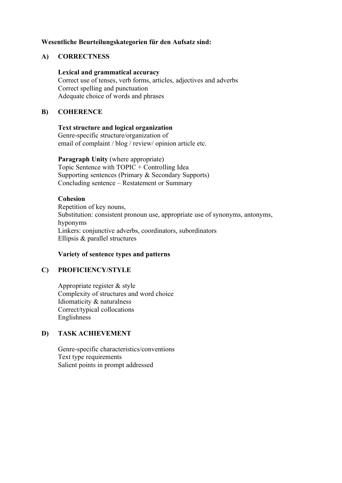### **Wesentliche Beurteilungskategorien für den Aufsatz sind:**

### **A) CORRECTNESS**

### **Lexical and grammatical accuracy**

Correct use of tenses, verb forms, articles, adjectives and adverbs Correct spelling and punctuation Adequate choice of words and phrases

### **B) COHERENCE**

### **Text structure and logical organization**

Genre-specific structure/organization of email of complaint / blog / review/ opinion article etc.

**Paragraph Unity** (where appropriate) Topic Sentence with TOPIC + Controlling Idea Supporting sentences (Primary & Secondary Supports) Concluding sentence – Restatement or Summary

### **Cohesion**

Repetition of key nouns, Substitution: consistent pronoun use, appropriate use of synonyms, antonyms, hyponyms Linkers: conjunctive adverbs, coordinators, subordinators Ellipsis & parallel structures

### **Variety of sentence types and patterns**

## **C) PROFICIENCY/STYLE**

Appropriate register & style Complexity of structures and word choice Idiomaticity & naturalness Correct/typical collocations Englishness

### **D) TASK ACHIEVEMENT**

Genre-specific characteristics/conventions Text type requirements Salient points in prompt addressed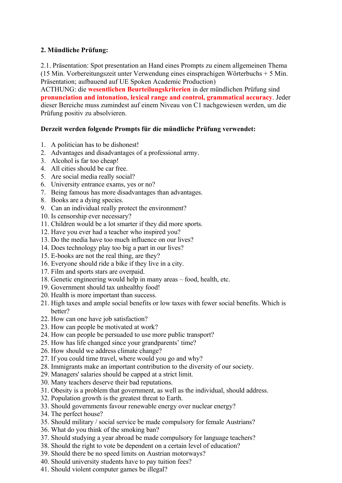## **2. Mündliche Prüfung:**

2.1. Präsentation: Spot presentation an Hand eines Prompts zu einem allgemeinen Thema (15 Min. Vorbereitungszeit unter Verwendung eines einsprachigen Wörterbuchs + 5 Min. Präsentation; aufbauend auf UE Spoken Academic Production)

ACTHUNG: die **wesentlichen Beurteilungskriterien** in der mündlichen Prüfung sind **pronunciation and intonation, lexical range and control, grammatical accuracy**. Jeder dieser Bereiche muss zumindest auf einem Niveau von C1 nachgewiesen werden, um die Prüfung positiv zu absolvieren.

## **Derzeit werden folgende Prompts für die mündliche Prüfung verwendet:**

- 1. A politician has to be dishonest!
- 2. Advantages and disadvantages of a professional army.
- 3. Alcohol is far too cheap!
- 4. All cities should be car free.
- 5. Are social media really social?
- 6. University entrance exams, yes or no?
- 7. Being famous has more disadvantages than advantages.
- 8. Books are a dying species.
- 9. Can an individual really protect the environment?
- 10. Is censorship ever necessary?
- 11. Children would be a lot smarter if they did more sports.
- 12. Have you ever had a teacher who inspired you?
- 13. Do the media have too much influence on our lives?
- 14. Does technology play too big a part in our lives?
- 15. E-books are not the real thing, are they?
- 16. Everyone should ride a bike if they live in a city.
- 17. Film and sports stars are overpaid.
- 18. Genetic engineering would help in many areas food, health, etc.
- 19. Government should tax unhealthy food!
- 20. Health is more important than success.
- 21. High taxes and ample social benefits or low taxes with fewer social benefits. Which is better?
- 22. How can one have job satisfaction?
- 23. How can people be motivated at work?
- 24. How can people be persuaded to use more public transport?
- 25. How has life changed since your grandparents' time?
- 26. How should we address climate change?
- 27. If you could time travel, where would you go and why?
- 28. Immigrants make an important contribution to the diversity of our society.
- 29. Managers' salaries should be capped at a strict limit.
- 30. Many teachers deserve their bad reputations.
- 31. Obesity is a problem that government, as well as the individual, should address.
- 32. Population growth is the greatest threat to Earth.
- 33. Should governments favour renewable energy over nuclear energy?
- 34. The perfect house?
- 35. Should military / social service be made compulsory for female Austrians?
- 36. What do you think of the smoking ban?
- 37. Should studying a year abroad be made compulsory for language teachers?
- 38. Should the right to vote be dependent on a certain level of education?
- 39. Should there be no speed limits on Austrian motorways?
- 40. Should university students have to pay tuition fees?
- 41. Should violent computer games be illegal?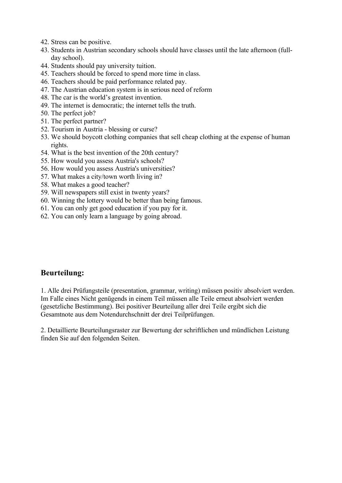- 42. Stress can be positive.
- 43. Students in Austrian secondary schools should have classes until the late afternoon (fullday school).
- 44. Students should pay university tuition.
- 45. Teachers should be forced to spend more time in class.
- 46. Teachers should be paid performance related pay.
- 47. The Austrian education system is in serious need of reform
- 48. The car is the world's greatest invention.
- 49. The internet is democratic; the internet tells the truth.
- 50. The perfect job?
- 51. The perfect partner?
- 52. Tourism in Austria blessing or curse?
- 53. We should boycott clothing companies that sell cheap clothing at the expense of human rights.
- 54. What is the best invention of the 20th century?
- 55. How would you assess Austria's schools?
- 56. How would you assess Austria's universities?
- 57. What makes a city/town worth living in?
- 58. What makes a good teacher?
- 59. Will newspapers still exist in twenty years?
- 60. Winning the lottery would be better than being famous.
- 61. You can only get good education if you pay for it.
- 62. You can only learn a language by going abroad.

# **Beurteilung:**

1. Alle drei Prüfungsteile (presentation, grammar, writing) müssen positiv absolviert werden. Im Falle eines Nicht genügends in einem Teil müssen alle Teile erneut absolviert werden (gesetzliche Bestimmung). Bei positiver Beurteilung aller drei Teile ergibt sich die Gesamtnote aus dem Notendurchschnitt der drei Teilprüfungen.

2. Detaillierte Beurteilungsraster zur Bewertung der schriftlichen und mündlichen Leistung finden Sie auf den folgenden Seiten.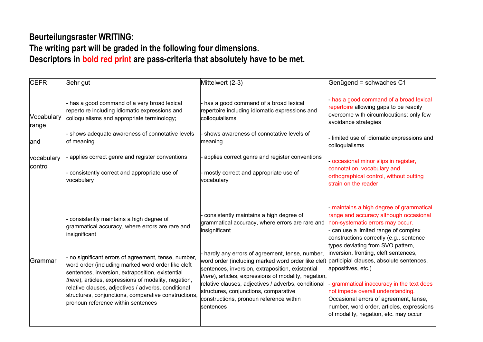# **Beurteilungsraster WRITING:**

# **The writing part will be graded in the following four dimensions. Descriptors in bold red print are pass-criteria that absolutely have to be met.**

| <b>CEFR</b>           | Sehr gut                                                                                                                                                                                                                                                                                                                                                                                                                                                                                   | Mittelwert (2-3)                                                                                                                                                                                                                                                                                                                                                                                                                                                                                                                   | Genügend = schwaches C1                                                                                                                                                                                                                                                                                                                                                                                                                                                                                                     |
|-----------------------|--------------------------------------------------------------------------------------------------------------------------------------------------------------------------------------------------------------------------------------------------------------------------------------------------------------------------------------------------------------------------------------------------------------------------------------------------------------------------------------------|------------------------------------------------------------------------------------------------------------------------------------------------------------------------------------------------------------------------------------------------------------------------------------------------------------------------------------------------------------------------------------------------------------------------------------------------------------------------------------------------------------------------------------|-----------------------------------------------------------------------------------------------------------------------------------------------------------------------------------------------------------------------------------------------------------------------------------------------------------------------------------------------------------------------------------------------------------------------------------------------------------------------------------------------------------------------------|
| Vocabulary<br>range   | - has a good command of a very broad lexical<br>repertoire including idiomatic expressions and<br>colloquialisms and appropriate terminology;                                                                                                                                                                                                                                                                                                                                              | - has a good command of a broad lexical<br>repertoire including idiomatic expressions and<br>colloquialisms                                                                                                                                                                                                                                                                                                                                                                                                                        | - has a good command of a broad lexical<br>repertoire allowing gaps to be readily<br>overcome with circumlocutions; only few<br>avoidance strategies                                                                                                                                                                                                                                                                                                                                                                        |
| land                  | - shows adequate awareness of connotative levels<br>of meaning                                                                                                                                                                                                                                                                                                                                                                                                                             | - shows awareness of connotative levels of<br>meaning                                                                                                                                                                                                                                                                                                                                                                                                                                                                              | - limited use of idiomatic expressions and<br>colloquialisms                                                                                                                                                                                                                                                                                                                                                                                                                                                                |
| vocabulary<br>control | applies correct genre and register conventions<br>consistently correct and appropriate use of<br>vocabulary                                                                                                                                                                                                                                                                                                                                                                                | applies correct genre and register conventions<br>- mostly correct and appropriate use of<br>vocabulary                                                                                                                                                                                                                                                                                                                                                                                                                            | - occasional minor slips in register,<br>connotation, vocabulary and<br>orthographical control, without putting<br>strain on the reader                                                                                                                                                                                                                                                                                                                                                                                     |
| Grammar               | consistently maintains a high degree of<br>grammatical accuracy, where errors are rare and<br>insignificant<br>- no significant errors of agreement, tense, number,<br>word order (including marked word order like cleft<br>sentences, inversion, extraposition, existential<br>there), articles, expressions of modality, negation,<br>relative clauses, adjectives / adverbs, conditional<br>structures, conjunctions, comparative constructions,<br>pronoun reference within sentences | consistently maintains a high degree of<br>grammatical accuracy, where errors are rare and<br>insignificant<br>- hardly any errors of agreement, tense, number,<br>word order (including marked word order like cleft participial clauses, absolute sentences,<br>sentences, inversion, extraposition, existential<br>there), articles, expressions of modality, negation,<br>relative clauses, adjectives / adverbs, conditional<br>structures, conjunctions, comparative<br>constructions, pronoun reference within<br>sentences | - maintains a high degree of grammatical<br>range and accuracy although occasional<br>non-systematic errors may occur.<br>can use a limited range of complex<br>constructions correctly (e.g., sentence<br>types deviating from SVO pattern,<br>inversion, fronting, cleft sentences,<br>appositives, etc.)<br>grammatical inaccuracy in the text does<br>not impede overall understanding.<br>Occasional errors of agreement, tense,<br>number, word order, articles, expressions<br>of modality, negation, etc. may occur |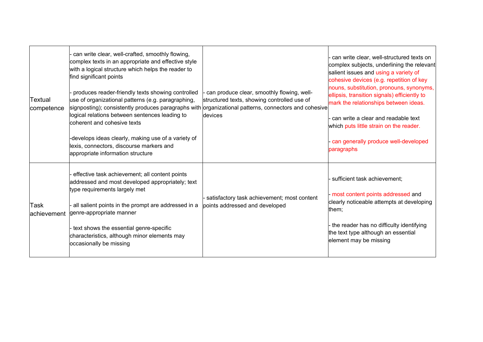| Textual<br>competence | can write clear, well-crafted, smoothly flowing,<br>complex texts in an appropriate and effective style<br>with a logical structure which helps the reader to<br>find significant points<br>produces reader-friendly texts showing controlled<br>use of organizational patterns (e.g. paragraphing,<br>$ {\rm signposing}$ ); consistently produces paragraphs with $ {\rm original\,}$ patterns, connectors and cohesive<br>logical relations between sentences leading to<br>coherent and cohesive texts<br>-develops ideas clearly, making use of a variety of<br>lexis, connectors, discourse markers and<br>appropriate information structure | can produce clear, smoothly flowing, well-<br>structured texts, showing controlled use of<br>devices | can write clear, well-structured texts on<br>complex subjects, underlining the relevant<br>salient issues and using a variety of<br>cohesive devices (e.g. repetition of key<br>nouns, substitution, pronouns, synonyms,<br>ellipsis, transition signals) efficiently to<br>mark the relationships between ideas.<br>- can write a clear and readable text<br>which puts little strain on the reader.<br>- can generally produce well-developed<br>paragraphs |
|-----------------------|----------------------------------------------------------------------------------------------------------------------------------------------------------------------------------------------------------------------------------------------------------------------------------------------------------------------------------------------------------------------------------------------------------------------------------------------------------------------------------------------------------------------------------------------------------------------------------------------------------------------------------------------------|------------------------------------------------------------------------------------------------------|---------------------------------------------------------------------------------------------------------------------------------------------------------------------------------------------------------------------------------------------------------------------------------------------------------------------------------------------------------------------------------------------------------------------------------------------------------------|
| Task<br>lachievement  | effective task achievement; all content points<br>addressed and most developed appropriately; text<br>type requirements largely met<br>all salient points in the prompt are addressed in a<br>genre-appropriate manner<br>- text shows the essential genre-specific<br>characteristics, although minor elements may<br>occasionally be missing                                                                                                                                                                                                                                                                                                     | satisfactory task achievement; most content<br>points addressed and developed                        | sufficient task achievement;<br>- most content points addressed and<br>clearly noticeable attempts at developing<br>them;<br>- the reader has no difficulty identifying<br>the text type although an essential<br>element may be missing                                                                                                                                                                                                                      |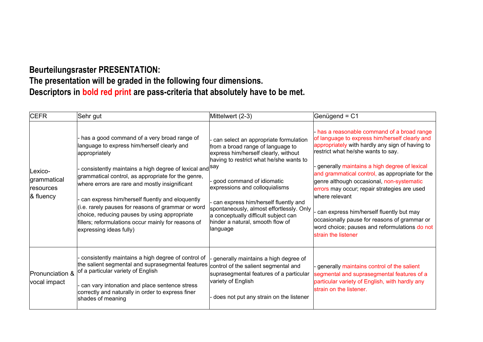# **Beurteilungsraster PRESENTATION: The presentation will be graded in the following four dimensions. Descriptors in bold red print are pass-criteria that absolutely have to be met.**

| <b>CEFR</b>                                         | Sehr gut                                                                                                                                                                                                                                                                                                                                                                                                                                                                                                                                   | Mittelwert (2-3)                                                                                                                                                                                                                                                                                                                                                                                         | Genügend = $C1$                                                                                                                                                                                                                                                                                                                                                                                                                                                                                                                                                              |
|-----------------------------------------------------|--------------------------------------------------------------------------------------------------------------------------------------------------------------------------------------------------------------------------------------------------------------------------------------------------------------------------------------------------------------------------------------------------------------------------------------------------------------------------------------------------------------------------------------------|----------------------------------------------------------------------------------------------------------------------------------------------------------------------------------------------------------------------------------------------------------------------------------------------------------------------------------------------------------------------------------------------------------|------------------------------------------------------------------------------------------------------------------------------------------------------------------------------------------------------------------------------------------------------------------------------------------------------------------------------------------------------------------------------------------------------------------------------------------------------------------------------------------------------------------------------------------------------------------------------|
| Lexico-<br>grammatical<br>resources<br>$\&$ fluency | - has a good command of a very broad range of<br>language to express him/herself clearly and<br>appropriately<br>· consistently maintains a high degree of lexical and $ ^{\text{say}}$<br>grammatical control, as appropriate for the genre,<br>where errors are rare and mostly insignificant<br>can express him/herself fluently and eloquently<br>(i.e. rarely pauses for reasons of grammar or word<br>choice, reducing pauses by using appropriate<br>fillers; reformulations occur mainly for reasons of<br>expressing ideas fully) | can select an appropriate formulation<br>from a broad range of language to<br>express him/herself clearly, without<br>having to restrict what he/she wants to<br>good command of idiomatic<br>expressions and colloquialisms<br>can express him/herself fluently and<br>spontaneously, almost effortlessly. Only<br>a conceptually difficult subject can<br>hinder a natural, smooth flow of<br>language | - has a reasonable command of a broad range<br>of language to express him/herself clearly and<br>appropriately with hardly any sign of having to<br>restrict what he/she wants to say.<br>generally maintains a high degree of lexical<br>and grammatical control, as appropriate for the<br>genre although occasional, non-systematic<br>errors may occur; repair strategies are used<br>where relevant<br>can express him/herself fluently but may<br>occasionally pause for reasons of grammar or<br>word choice; pauses and reformulations do not<br>strain the listener |
| Pronunciation &<br>vocal impact                     | consistently maintains a high degree of control of<br>the salient segmental and suprasegmental features<br>of a particular variety of English<br>- can vary intonation and place sentence stress<br>correctly and naturally in order to express finer<br>shades of meaning                                                                                                                                                                                                                                                                 | generally maintains a high degree of<br>control of the salient segmental and<br>suprasegmental features of a particular<br>variety of English<br>does not put any strain on the listener                                                                                                                                                                                                                 | - generally maintains control of the salient<br>segmental and suprasegmental features of a<br>particular variety of English, with hardly any<br>strain on the listener.                                                                                                                                                                                                                                                                                                                                                                                                      |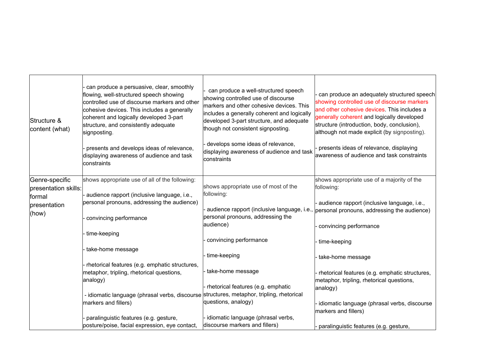| Structure &<br>content (what) | can produce a persuasive, clear, smoothly<br>flowing, well-structured speech showing<br>controlled use of discourse markers and other<br>cohesive devices. This includes a generally<br>coherent and logically developed 3-part<br>structure, and consistently adequate<br>signposting.<br>presents and develops ideas of relevance,<br>displaying awareness of audience and task<br>constraints | can produce a well-structured speech<br>showing controlled use of discourse<br>markers and other cohesive devices. This<br>includes a generally coherent and logically<br>developed 3-part structure, and adequate<br>though not consistent signposting.<br>develops some ideas of relevance,<br>displaying awareness of audience and task<br>constraints | can produce an adequately structured speech<br>showing controlled use of discourse markers<br>and other cohesive devices. This includes a<br>generally coherent and logically developed<br>structure (introduction, body, conclusion),<br>although not made explicit (by signposting).<br>presents ideas of relevance, displaying<br>awareness of audience and task constraints |
|-------------------------------|--------------------------------------------------------------------------------------------------------------------------------------------------------------------------------------------------------------------------------------------------------------------------------------------------------------------------------------------------------------------------------------------------|-----------------------------------------------------------------------------------------------------------------------------------------------------------------------------------------------------------------------------------------------------------------------------------------------------------------------------------------------------------|---------------------------------------------------------------------------------------------------------------------------------------------------------------------------------------------------------------------------------------------------------------------------------------------------------------------------------------------------------------------------------|
| Genre-specific                | shows appropriate use of all of the following:                                                                                                                                                                                                                                                                                                                                                   |                                                                                                                                                                                                                                                                                                                                                           | shows appropriate use of a majority of the                                                                                                                                                                                                                                                                                                                                      |
| presentation skills:          |                                                                                                                                                                                                                                                                                                                                                                                                  | shows appropriate use of most of the                                                                                                                                                                                                                                                                                                                      | following:                                                                                                                                                                                                                                                                                                                                                                      |
| formal                        | audience rapport (inclusive language, i.e.,                                                                                                                                                                                                                                                                                                                                                      | following:                                                                                                                                                                                                                                                                                                                                                |                                                                                                                                                                                                                                                                                                                                                                                 |
| presentation                  | personal pronouns, addressing the audience)                                                                                                                                                                                                                                                                                                                                                      | audience rapport (inclusive language, i.e.,                                                                                                                                                                                                                                                                                                               | audience rapport (inclusive language, i.e.,                                                                                                                                                                                                                                                                                                                                     |
| (how)                         |                                                                                                                                                                                                                                                                                                                                                                                                  | personal pronouns, addressing the                                                                                                                                                                                                                                                                                                                         | personal pronouns, addressing the audience)                                                                                                                                                                                                                                                                                                                                     |
|                               | convincing performance                                                                                                                                                                                                                                                                                                                                                                           | audience)                                                                                                                                                                                                                                                                                                                                                 |                                                                                                                                                                                                                                                                                                                                                                                 |
|                               | time-keeping                                                                                                                                                                                                                                                                                                                                                                                     |                                                                                                                                                                                                                                                                                                                                                           | convincing performance                                                                                                                                                                                                                                                                                                                                                          |
|                               |                                                                                                                                                                                                                                                                                                                                                                                                  | convincing performance                                                                                                                                                                                                                                                                                                                                    | time-keeping                                                                                                                                                                                                                                                                                                                                                                    |
|                               | take-home message                                                                                                                                                                                                                                                                                                                                                                                |                                                                                                                                                                                                                                                                                                                                                           |                                                                                                                                                                                                                                                                                                                                                                                 |
|                               |                                                                                                                                                                                                                                                                                                                                                                                                  | time-keeping                                                                                                                                                                                                                                                                                                                                              | take-home message                                                                                                                                                                                                                                                                                                                                                               |
|                               | rhetorical features (e.g. emphatic structures,                                                                                                                                                                                                                                                                                                                                                   |                                                                                                                                                                                                                                                                                                                                                           |                                                                                                                                                                                                                                                                                                                                                                                 |
|                               | metaphor, tripling, rhetorical questions,                                                                                                                                                                                                                                                                                                                                                        | take-home message                                                                                                                                                                                                                                                                                                                                         | - rhetorical features (e.g. emphatic structures,                                                                                                                                                                                                                                                                                                                                |
|                               | analogy)                                                                                                                                                                                                                                                                                                                                                                                         |                                                                                                                                                                                                                                                                                                                                                           | metaphor, tripling, rhetorical questions,                                                                                                                                                                                                                                                                                                                                       |
|                               |                                                                                                                                                                                                                                                                                                                                                                                                  | rhetorical features (e.g. emphatic                                                                                                                                                                                                                                                                                                                        | analogy)                                                                                                                                                                                                                                                                                                                                                                        |
|                               | - idiomatic language (phrasal verbs, discourse                                                                                                                                                                                                                                                                                                                                                   | structures, metaphor, tripling, rhetorical                                                                                                                                                                                                                                                                                                                |                                                                                                                                                                                                                                                                                                                                                                                 |
|                               | markers and fillers)                                                                                                                                                                                                                                                                                                                                                                             | questions, analogy)                                                                                                                                                                                                                                                                                                                                       | idiomatic language (phrasal verbs, discourse                                                                                                                                                                                                                                                                                                                                    |
|                               |                                                                                                                                                                                                                                                                                                                                                                                                  |                                                                                                                                                                                                                                                                                                                                                           | markers and fillers)                                                                                                                                                                                                                                                                                                                                                            |
|                               | paralinguistic features (e.g. gesture,                                                                                                                                                                                                                                                                                                                                                           | - idiomatic language (phrasal verbs,<br>discourse markers and fillers)                                                                                                                                                                                                                                                                                    |                                                                                                                                                                                                                                                                                                                                                                                 |
|                               | posture/poise, facial expression, eye contact,                                                                                                                                                                                                                                                                                                                                                   |                                                                                                                                                                                                                                                                                                                                                           | paralinguistic features (e.g. gesture,                                                                                                                                                                                                                                                                                                                                          |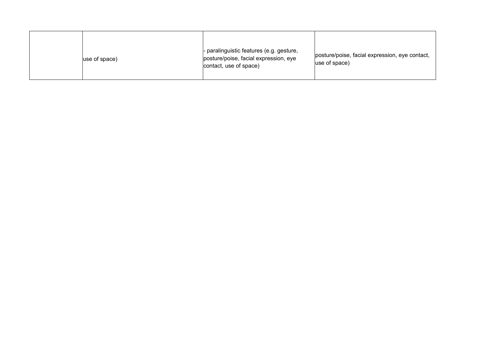| use of space) | - paralinguistic features (e.g. gesture,<br>posture/poise, facial expression, eye<br>contact, use of space) | posture/poise, facial expression, eye contact,<br>$ use of space\rangle$ |
|---------------|-------------------------------------------------------------------------------------------------------------|--------------------------------------------------------------------------|
|---------------|-------------------------------------------------------------------------------------------------------------|--------------------------------------------------------------------------|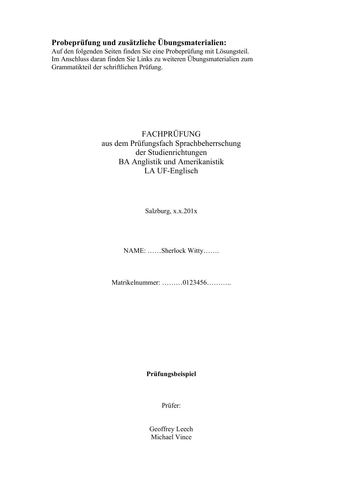# **Probeprüfung und zusätzliche Übungsmaterialien:**

Auf den folgenden Seiten finden Sie eine Probeprüfung mit Lösungsteil. Im Anschluss daran finden Sie Links zu weiteren Übungsmaterialien zum Grammatikteil der schriftlichen Prüfung.

# FACHPRÜFUNG aus dem Prüfungsfach Sprachbeherrschung der Studienrichtungen BA Anglistik und Amerikanistik LA UF-Englisch

Salzburg, x.x.201x

NAME: ……Sherlock Witty…….

Matrikelnummer: ………0123456………..

## **Prüfungsbeispiel**

Prüfer:

Geoffrey Leech Michael Vince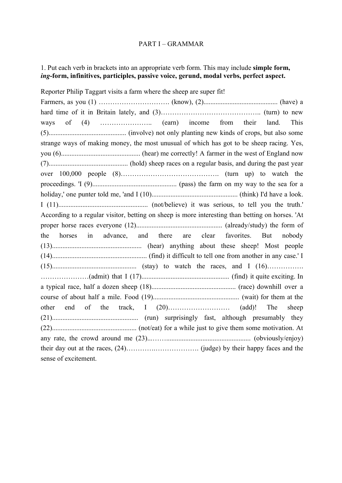### PART I – GRAMMAR

## 1. Put each verb in brackets into an appropriate verb form. This may include **simple form,** *ing***-form, infinitives, participles, passive voice, gerund, modal verbs, perfect aspect.**

Reporter Philip Taggart visits a farm where the sheep are super fit! Farmers, as you (1) …………………………. (know), (2)........................................... (have) a hard time of it in Britain lately, and (3)…………………………………….. (turn) to new ways of (4) ……………………. (earn) income from their land. This (5)............................................. (involve) not only planting new kinds of crops, but also some strange ways of making money, the most unusual of which has got to be sheep racing. Yes, you (6).............................................. (hear) me correctly! A farmer in the west of England now (7).............................................. (hold) sheep races on a regular basis, and during the past year over 100,000 people (8)……………………………………. (turn up) to watch the proceedings. 'I (9)................................................. (pass) the farm on my way to the sea for a holiday,' one punter told me, 'and I (10).................................................. (think) I'd have a look. I (11).................................................... (not/believe) it was serious, to tell you the truth.' According to a regular visitor, betting on sheep is more interesting than betting on horses. 'At proper horse races everyone (12).................................................. (already/study) the form of the horses in advance, and there are clear favorites. But nobody (13).................................................... (hear) anything about these sheep! Most people (14)....................................................... (find) it difficult to tell one from another in any case.' I (15)................................................. (stay) to watch the races, and I (16)……………. …………………(admit) that I (17)................................................... (find) it quite exciting. In a typical race, half a dozen sheep (18)................................................. (race) downhill over a course of about half a mile. Food (19).................................................. (wait) for them at the other end of the track, I (20)……………………… (add)! The sheep (21).................................................. (run) surprisingly fast, although presumably they (22)................................................. (not/eat) for a while just to give them some motivation. At any rate, the crowd around me (23)...……................................................. (obviously/enjoy) their day out at the races, (24)………….………………. (judge) by their happy faces and the sense of excitement.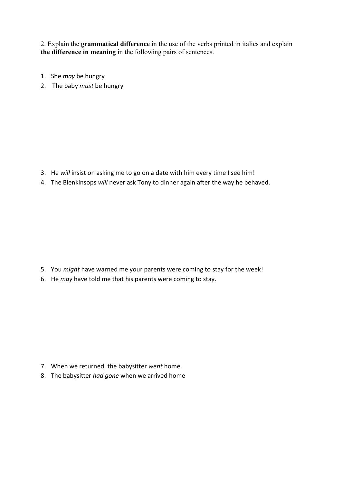2. Explain the **grammatical difference** in the use of the verbs printed in italics and explain **the difference in meaning** in the following pairs of sentences.

- 1. She *may* be hungry
- 2. The baby *must* be hungry

- 3. He *will* insist on asking me to go on a date with him every time I see him!
- 4. The Blenkinsops *will* never ask Tony to dinner again after the way he behaved.

- 5. You *might* have warned me your parents were coming to stay for the week!
- 6. He *may* have told me that his parents were coming to stay.

- 7. When we returned, the babysitter *went* home.
- 8. The babysitter *had gone* when we arrived home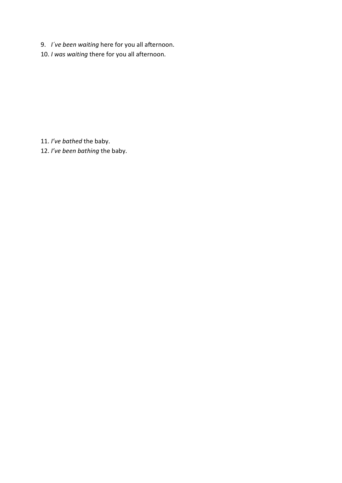- 9. *I´ve been waiting* here for you all afternoon.
- 10. *I was waiting* there for you all afternoon.

11. *I've bathed* the baby.

12. *I've been bathing* the baby.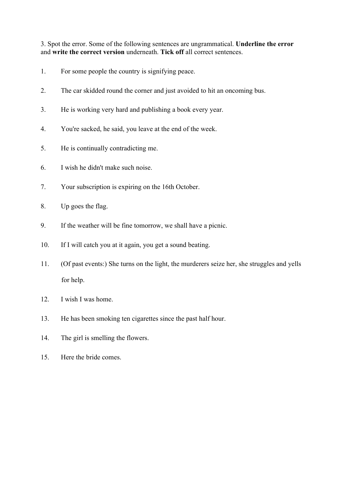3. Spot the error. Some of the following sentences are ungrammatical. **Underline the error** and **write the correct version** underneath. **Tick off** all correct sentences.

- 1. For some people the country is signifying peace.
- 2. The car skidded round the corner and just avoided to hit an oncoming bus.
- 3. He is working very hard and publishing a book every year.
- 4. You're sacked, he said, you leave at the end of the week.
- 5. He is continually contradicting me.
- 6. I wish he didn't make such noise.
- 7. Your subscription is expiring on the 16th October.
- 8. Up goes the flag.
- 9. If the weather will be fine tomorrow, we shall have a picnic.
- 10. If I will catch you at it again, you get a sound beating.
- 11. (Of past events:) She turns on the light, the murderers seize her, she struggles and yells for help.
- 12. I wish I was home.
- 13. He has been smoking ten cigarettes since the past half hour.
- 14. The girl is smelling the flowers.
- 15. Here the bride comes.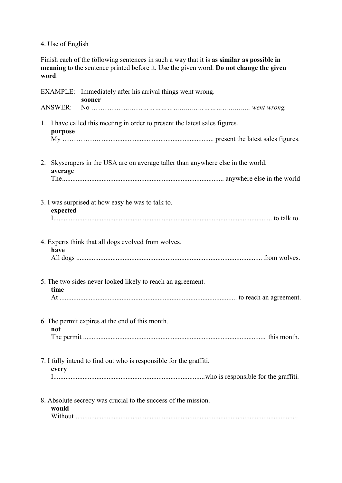# 4. Use of English

Finish each of the following sentences in such a way that it is **as similar as possible in meaning** to the sentence printed before it. Use the given word. **Do not change the given word**.

|                | EXAMPLE: Immediately after his arrival things went wrong.<br>sooner              |
|----------------|----------------------------------------------------------------------------------|
| <b>ANSWER:</b> |                                                                                  |
| purpose        | 1. I have called this meeting in order to present the latest sales figures.      |
| average        | 2. Skyscrapers in the USA are on average taller than anywhere else in the world. |
| expected       | 3. I was surprised at how easy he was to talk to.                                |
| have           | 4. Experts think that all dogs evolved from wolves.                              |
| time           | 5. The two sides never looked likely to reach an agreement.                      |
| not            | 6. The permit expires at the end of this month.                                  |
| every          | 7. I fully intend to find out who is responsible for the graffiti.               |
| would          | 8. Absolute secrecy was crucial to the success of the mission.                   |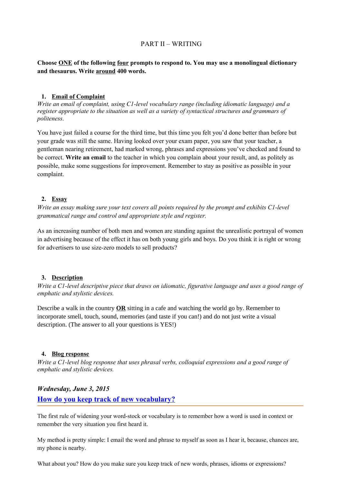### PART II – WRITING

### **Choose ONE of the following four prompts to respond to. You may use a monolingual dictionary and thesaurus. Write around 400 words.**

#### **1. Email of Complaint**

*Write an email of complaint, using C1-level vocabulary range (including idiomatic language) and a register appropriate to the situation as well as a variety of syntactical structures and grammars of politeness.*

You have just failed a course for the third time, but this time you felt you'd done better than before but your grade was still the same. Having looked over your exam paper, you saw that your teacher, a gentleman nearing retirement, had marked wrong, phrases and expressions you've checked and found to be correct. **Write an email** to the teacher in which you complain about your result, and, as politely as possible, make some suggestions for improvement. Remember to stay as positive as possible in your complaint.

### **2. Essay**

*Write an essay making sure your text covers all points required by the prompt and exhibits C1-level grammatical range and control and appropriate style and register.*

As an increasing number of both men and women are standing against the unrealistic portrayal of women in advertising because of the effect it has on both young girls and boys. Do you think it is right or wrong for advertisers to use size-zero models to sell products?

### **3. Description**

*Write a C1-level descriptive piece that draws on idiomatic, figurative language and uses a good range of emphatic and stylistic devices.*

Describe a walk in the country **OR** sitting in a cafe and watching the world go by. Remember to incorporate smell, touch, sound, memories (and taste if you can!) and do not just write a visual description. (The answer to all your questions is YES!)

#### **4. Blog response**

*Write a C1-level blog response that uses phrasal verbs, colloquial expressions and a good range of emphatic and stylistic devices.*

### *Wednesday, June 3, 2015*

### **[How do you keep track of new vocabulary ?](http://blog.nathanbransford.com/2015/06/how-do-you-keep-track-of-your-ideas.html)**

The first rule of widening your word-stock or vocabulary is to remember how a word is used in context or remember the very situation you first heard it.

My method is pretty simple: I email the word and phrase to myself as soon as I hear it, because, chances are, my phone is nearby.

What about you? How do you make sure you keep track of new words, phrases, idioms or expressions?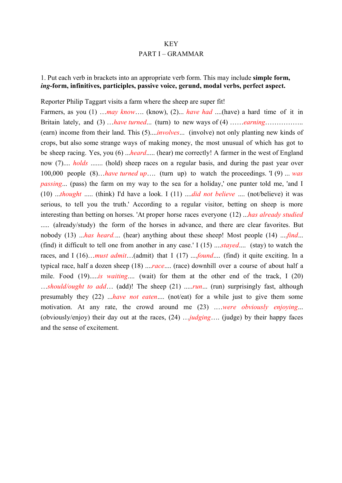## KEY PART I – GRAMMAR

### 1. Put each verb in brackets into an appropriate verb form. This may include **simple form,** *ing***-form, infinitives, participles, passive voice, gerund, modal verbs, perfect aspect.**

#### Reporter Philip Taggart visits a farm where the sheep are super fit!

Farmers, as you (1) …*may know*…. (know), (2)... *have had* ....(have) a hard time of it in Britain lately, and (3) …*have turned*... (turn) to new ways of (4) ……*earning*…………….. (earn) income from their land. This (5)....*involves*... (involve) not only planting new kinds of crops, but also some strange ways of making money, the most unusual of which has got to be sheep racing. Yes, you (6) ...*heard*..... (hear) me correctly! A farmer in the west of England now (7).... *holds* ....... (hold) sheep races on a regular basis, and during the past year over 100,000 people (8)…*have turned up*…. (turn up) to watch the proceedings. 'I (9) ... *was passing*... (pass) the farm on my way to the sea for a holiday,' one punter told me, 'and I (10) ...*thought* ..... (think) I'd have a look. I (11) ....*did not believe* .... (not/believe) it was serious, to tell you the truth.' According to a regular visitor, betting on sheep is more interesting than betting on horses. 'At proper horse races everyone (12) ...*has already studied* ..... (already/study) the form of the horses in advance, and there are clear favorites. But nobody (13) ...*has heard.*... (hear) anything about these sheep! Most people (14) ....*find*... (find) it difficult to tell one from another in any case.' I (15) ....*stayed*.... (stay) to watch the races, and I (16)…*must admit*…(admit) that I (17) ....*found*.... (find) it quite exciting. In a typical race, half a dozen sheep (18) ....*race*.... (race) downhill over a course of about half a mile. Food (19).....*is waiting*.... (wait) for them at the other end of the track, I (20) …*should/ought to add*… (add)! The sheep (21) .....*run*... (run) surprisingly fast, although presumably they (22) ...*have not eaten*.... (not/eat) for a while just to give them some motivation. At any rate, the crowd around me (23) .…*were obviously enjoying*... (obviously/enjoy) their day out at the races, (24) …*judging*…. (judge) by their happy faces and the sense of excitement.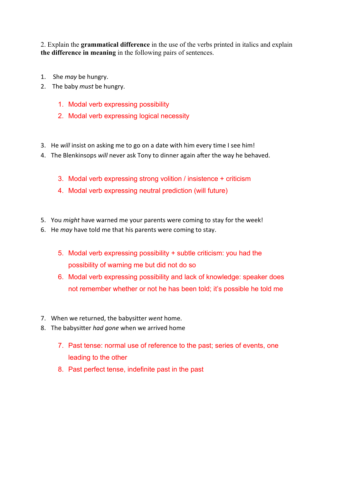2. Explain the **grammatical difference** in the use of the verbs printed in italics and explain **the difference in meaning** in the following pairs of sentences.

- 1. She *may* be hungry.
- 2. The baby *must* be hungry.
	- 1. Modal verb expressing possibility
	- 2. Modal verb expressing logical necessity
- 3. He *will* insist on asking me to go on a date with him every time I see him!
- 4. The Blenkinsops *will* never ask Tony to dinner again after the way he behaved.
	- 3. Modal verb expressing strong volition / insistence + criticism
	- 4. Modal verb expressing neutral prediction (will future)
- 5. You *might* have warned me your parents were coming to stay for the week!
- 6. He *may* have told me that his parents were coming to stay.
	- 5. Modal verb expressing possibility + subtle criticism: you had the possibility of warning me but did not do so
	- 6. Modal verb expressing possibility and lack of knowledge: speaker does not remember whether or not he has been told; it's possible he told me
- 7. When we returned, the babysitter *went* home.
- 8. The babysitter *had gone* when we arrived home
	- 7. Past tense: normal use of reference to the past; series of events, one leading to the other
	- 8. Past perfect tense, indefinite past in the past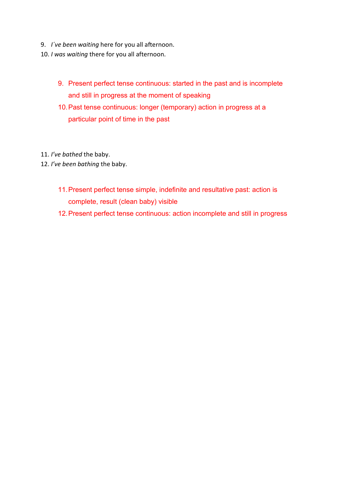- 9. *I´ve been waiting* here for you all afternoon.
- 10. *I was waiting* there for you all afternoon.
	- 9. Present perfect tense continuous: started in the past and is incomplete and still in progress at the moment of speaking
	- 10.Past tense continuous: longer (temporary) action in progress at a particular point of time in the past
- 11. *I've bathed* the baby.
- 12. *I've been bathing* the baby.
	- 11.Present perfect tense simple, indefinite and resultative past: action is complete, result (clean baby) visible
	- 12.Present perfect tense continuous: action incomplete and still in progress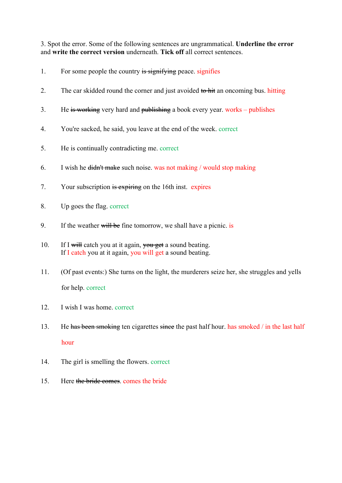3. Spot the error. Some of the following sentences are ungrammatical. **Underline the error** and **write the correct version** underneath. **Tick off** all correct sentences.

- 1. For some people the country is signifying peace. signifies
- 2. The car skidded round the corner and just avoided to hit an oncoming bus. hitting
- 3. He is working very hard and publishing a book every year. works publishes
- 4. You're sacked, he said, you leave at the end of the week. correct
- 5. He is continually contradicting me. correct
- 6. I wish he didn't make such noise. was not making / would stop making
- 7. Your subscription is expiring on the 16th inst. expires
- 8. Up goes the flag. correct
- 9. If the weather will be fine tomorrow, we shall have a picnic. is
- 10. If I will catch you at it again, you get a sound beating. If I catch you at it again, you will get a sound beating.
- 11. (Of past events:) She turns on the light, the murderers seize her, she struggles and yells for help. correct
- 12. I wish I was home. correct
- 13. He has been smoking ten cigarettes since the past half hour. has smoked / in the last half hour
- 14. The girl is smelling the flowers. correct
- 15. Here the bride comes. comes the bride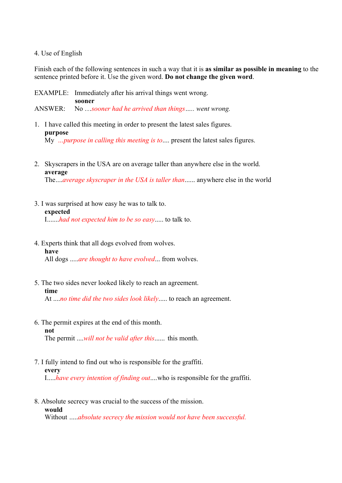#### 4. Use of English

Finish each of the following sentences in such a way that it is **as similar as possible in meaning** to the sentence printed before it. Use the given word. **Do not change the given word**.

EXAMPLE: Immediately after his arrival things went wrong. **sooner** ANSWER: No …*sooner had he arrived than things….. went wrong.*

- 1. I have called this meeting in order to present the latest sales figures. **purpose** My *…purpose in calling this meeting is to*.... present the latest sales figures.
- 2. Skyscrapers in the USA are on average taller than anywhere else in the world. **average**

The....*average skyscraper in the USA is taller than*...... anywhere else in the world

- 3. I was surprised at how easy he was to talk to. **expected** I.......*had not expected him to be so easy*..... to talk to.
- 4. Experts think that all dogs evolved from wolves. **have** All dogs .....*are thought to have evolved*... from wolves.
- 5. The two sides never looked likely to reach an agreement. **time**

At ....*no time did the two sides look likely*..... to reach an agreement.

6. The permit expires at the end of this month. **not** The permit ....*will not be valid after this*...... this month.

7. I fully intend to find out who is responsible for the graffiti. **every** I.....*have every intention of finding out*....who is responsible for the graffiti.

8. Absolute secrecy was crucial to the success of the mission. **would**

Without .....*absolute secrecy the mission would not have been successful.*